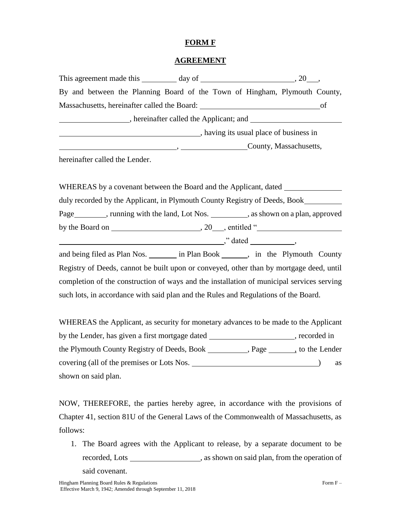## **FORM F**

## **AGREEMENT**

|  |                               | By and between the Planning Board of the Town of Hingham, Plymouth County, |  |                                         |    |
|--|-------------------------------|----------------------------------------------------------------------------|--|-----------------------------------------|----|
|  |                               | Massachusetts, hereinafter called the Board: University of Australian      |  |                                         | of |
|  |                               | , hereinafter called the Applicant; and                                    |  |                                         |    |
|  |                               |                                                                            |  | , having its usual place of business in |    |
|  |                               |                                                                            |  | County, Massachusetts,                  |    |
|  | horoinaftar called the Landar |                                                                            |  |                                         |    |

hereinafter called the Lender.

| WHEREAS by a covenant between the Board and the Applicant, dated           |      |              |
|----------------------------------------------------------------------------|------|--------------|
| duly recorded by the Applicant, in Plymouth County Registry of Deeds, Book |      |              |
| Page funning with the land, Lot Nos. 3. As shown on a plan, approved       |      |              |
| by the Board on _                                                          | . 20 | , entitled " |
|                                                                            |      | dated."      |

and being filed as Plan Nos. in Plan Book has in the Plymouth County Registry of Deeds, cannot be built upon or conveyed, other than by mortgage deed, until completion of the construction of ways and the installation of municipal services serving such lots, in accordance with said plan and the Rules and Regulations of the Board.

WHEREAS the Applicant, as security for monetary advances to be made to the Applicant by the Lender, has given a first mortgage dated , recorded in the Plymouth County Registry of Deeds, Book Playe Register Representing to the Lender covering (all of the premises or Lots Nos. <u>\_\_\_\_\_\_\_\_\_\_\_\_\_\_\_\_\_\_\_\_\_\_\_\_\_\_\_\_\_\_\_\_\_\_\_</u>) as shown on said plan.

NOW, THEREFORE, the parties hereby agree, in accordance with the provisions of Chapter 41, section 81U of the General Laws of the Commonwealth of Massachusetts, as follows:

1. The Board agrees with the Applicant to release, by a separate document to be recorded, Lots \_\_\_\_\_\_\_\_\_\_\_\_\_\_\_\_\_\_\_\_\_\_, as shown on said plan, from the operation of said covenant.